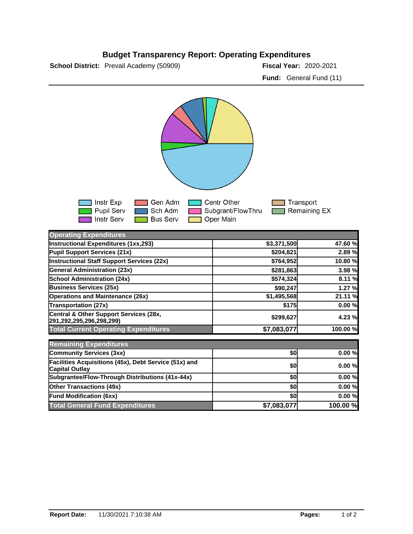## **Budget Transparency Report: Operating Expenditures**

**School District:** Prevail Academy (50909) **2020-2021 Fiscal Year:** 2020-2021

**Fund:** General Fund (11)



| <b>Operating Expenditures</b>                                                  |             |          |
|--------------------------------------------------------------------------------|-------------|----------|
| Instructional Expenditures (1xx,293)                                           | \$3,371,500 | 47.60 %  |
| Pupil Support Services (21x)                                                   | \$204,821   | 2.89 %   |
| Instructional Staff Support Services (22x)                                     | \$764,952   | 10.80 %  |
| <b>General Administration (23x)</b>                                            | \$281,863   | 3.98 %   |
| <b>School Administration (24x)</b>                                             | \$574,324   | 8.11 %   |
| <b>Business Services (25x)</b>                                                 | \$90,247    | 1.27 %   |
| <b>Operations and Maintenance (26x)</b>                                        | \$1,495,568 | 21.11 %  |
| Transportation (27x)                                                           | \$175       | 0.00%    |
| Central & Other Support Services (28x,<br>291,292,295,296,298,299)             | \$299,627   | 4.23 %   |
| <b>Total Current Operating Expenditures</b>                                    | \$7,083,077 | 100.00 % |
| <b>Remaining Expenditures</b>                                                  |             |          |
| Community Services (3xx)                                                       | \$0         | 0.00%    |
| Facilities Acquisitions (45x), Debt Service (51x) and<br><b>Capital Outlay</b> | \$0         | 0.00%    |
| Subgrantee/Flow-Through Distributions (41x-44x)                                | \$0         | 0.00%    |
| <b>Other Transactions (49x)</b>                                                | \$0         | 0.00%    |
| <b>Fund Modification (6xx)</b>                                                 | \$0         | 0.00%    |
| <b>Total General Fund Expenditures</b>                                         | \$7,083,077 | 100.00 % |